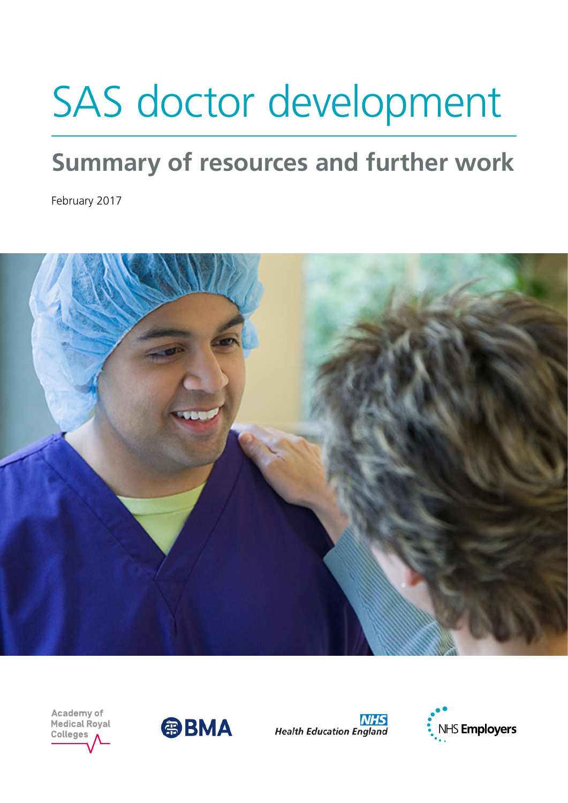# SAS doctor development

# **Summary of resources and further work**

February 2017



**Academy of Medical Royal Colleges** 





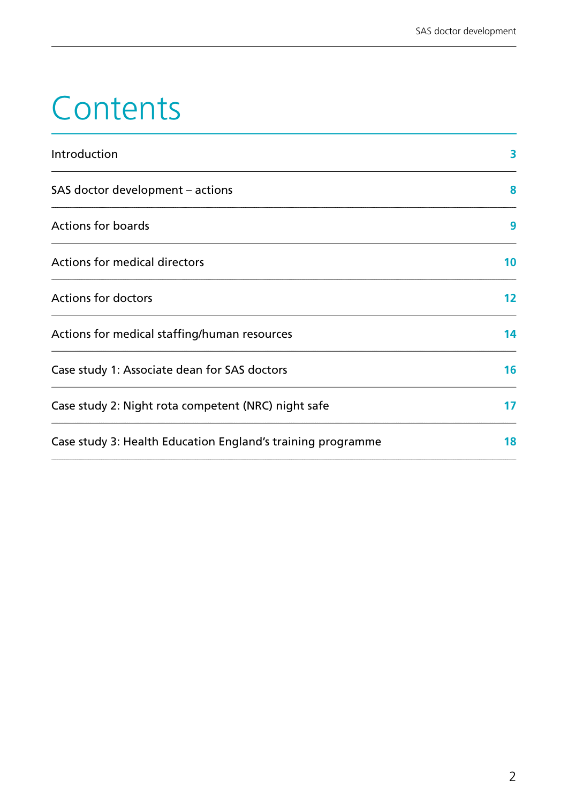# **Contents**

| Introduction                                                | 3  |
|-------------------------------------------------------------|----|
| SAS doctor development – actions                            | 8  |
| <b>Actions for boards</b>                                   | 9  |
| Actions for medical directors                               | 10 |
| <b>Actions for doctors</b>                                  | 12 |
| Actions for medical staffing/human resources                | 14 |
| Case study 1: Associate dean for SAS doctors                | 16 |
| Case study 2: Night rota competent (NRC) night safe         | 17 |
| Case study 3: Health Education England's training programme | 18 |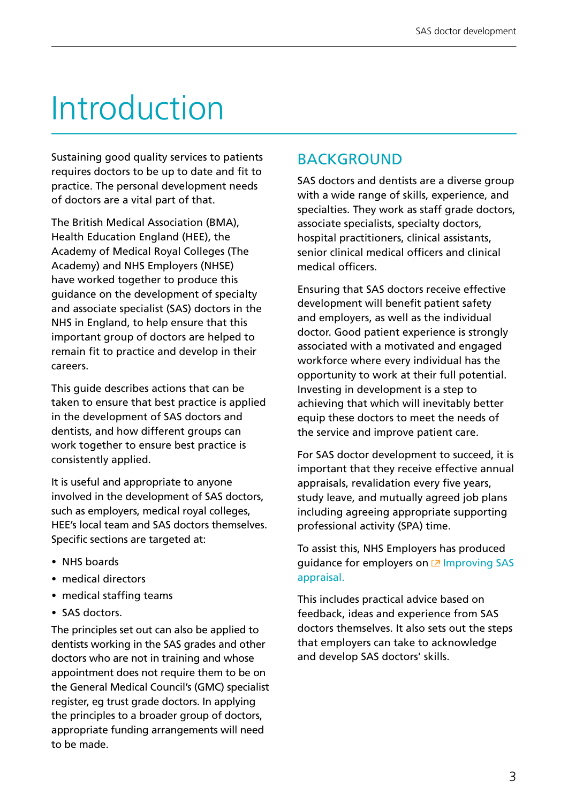# <span id="page-2-0"></span>Introduction

Sustaining good quality services to patients requires doctors to be up to date and fit to practice. The personal development needs of doctors are a vital part of that.

The British Medical Association (BMA), Health Education England (HEE), the Academy of Medical Royal Colleges (The Academy) and NHS Employers (NHSE) have worked together to produce this guidance on the development of specialty and associate specialist (SAS) doctors in the NHS in England, to help ensure that this important group of doctors are helped to remain fit to practice and develop in their careers.

This guide describes actions that can be taken to ensure that best practice is applied in the development of SAS doctors and dentists, and how different groups can work together to ensure best practice is consistently applied.

It is useful and appropriate to anyone involved in the development of SAS doctors, such as employers, medical royal colleges, HEE's local team and SAS doctors themselves. Specific sections are targeted at:

- • NHS boards
- medical directors
- medical staffing teams
- SAS doctors.

The principles set out can also be applied to dentists working in the SAS grades and other doctors who are not in training and whose appointment does not require them to be on the General Medical Council's (GMC) specialist register, eg trust grade doctors. In applying the principles to a broader group of doctors, appropriate funding arrangements will need to be made.

# **BACKGROUND**

SAS doctors and dentists are a diverse group with a wide range of skills, experience, and specialties. They work as staff grade doctors, associate specialists, specialty doctors, hospital practitioners, clinical assistants, senior clinical medical officers and clinical medical officers.

Ensuring that SAS doctors receive effective development will benefit patient safety and employers, as well as the individual doctor. Good patient experience is strongly associated with a motivated and engaged workforce where every individual has the opportunity to work at their full potential. Investing in development is a step to achieving that which will inevitably better equip these doctors to meet the needs of the service and improve patient care.

For SAS doctor development to succeed, it is important that they receive effective annual appraisals, revalidation every five years, study leave, and mutually agreed job plans including agreeing appropriate supporting professional activity (SPA) time.

To assist this, NHS Employers has produced guidance for employers on [2 Improving SAS] [appraisal.](http://www.nhsemployers.org/~/media/Employers/Publications/improving-sas-appraisal.pdf%20) 

This includes practical advice based on feedback, ideas and experience from SAS doctors themselves. It also sets out the steps that employers can take to acknowledge and develop SAS doctors' skills.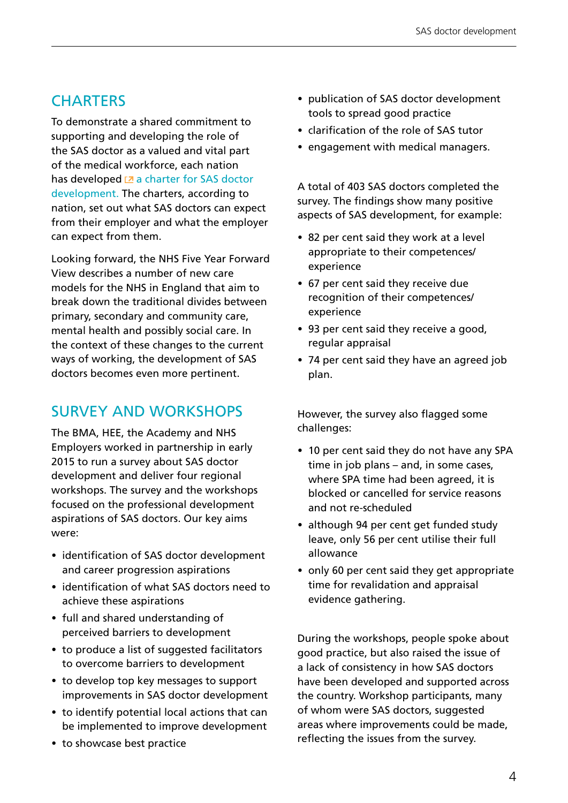# **CHARTERS**

To demonstrate a shared commitment to supporting and developing the role of the SAS doctor as a valued and vital part of the medical workforce, each nation has developed  $Z$  a charter for SAS doctor [development.](http://www.bma.org.uk/sascharters) The charters, according to nation, set out what SAS doctors can expect from their employer and what the employer can expect from them.

Looking forward, the NHS Five Year Forward View describes a number of new care models for the NHS in England that aim to break down the traditional divides between primary, secondary and community care, mental health and possibly social care. In the context of these changes to the current ways of working, the development of SAS doctors becomes even more pertinent.

# Survey and workshops

The BMA, HEE, the Academy and NHS Employers worked in partnership in early 2015 to run a survey about SAS doctor development and deliver four regional workshops. The survey and the workshops focused on the professional development aspirations of SAS doctors. Our key aims were:

- identification of SAS doctor development and career progression aspirations
- identification of what SAS doctors need to achieve these aspirations
- full and shared understanding of perceived barriers to development
- to produce a list of suggested facilitators to overcome barriers to development
- to develop top key messages to support improvements in SAS doctor development
- to identify potential local actions that can be implemented to improve development
- to showcase best practice
- publication of SAS doctor development tools to spread good practice
- clarification of the role of SAS tutor
- engagement with medical managers.

A total of 403 SAS doctors completed the survey. The findings show many positive aspects of SAS development, for example:

- 82 per cent said they work at a level appropriate to their competences/ experience
- 67 per cent said they receive due recognition of their competences/ experience
- 93 per cent said they receive a good, regular appraisal
- 74 per cent said they have an agreed job plan.

However, the survey also flagged some challenges:

- 10 per cent said they do not have any SPA time in job plans – and, in some cases, where SPA time had been agreed, it is blocked or cancelled for service reasons and not re-scheduled
- although 94 per cent get funded study leave, only 56 per cent utilise their full allowance
- only 60 per cent said they get appropriate time for revalidation and appraisal evidence gathering.

During the workshops, people spoke about good practice, but also raised the issue of a lack of consistency in how SAS doctors have been developed and supported across the country. Workshop participants, many of whom were SAS doctors, suggested areas where improvements could be made, reflecting the issues from the survey.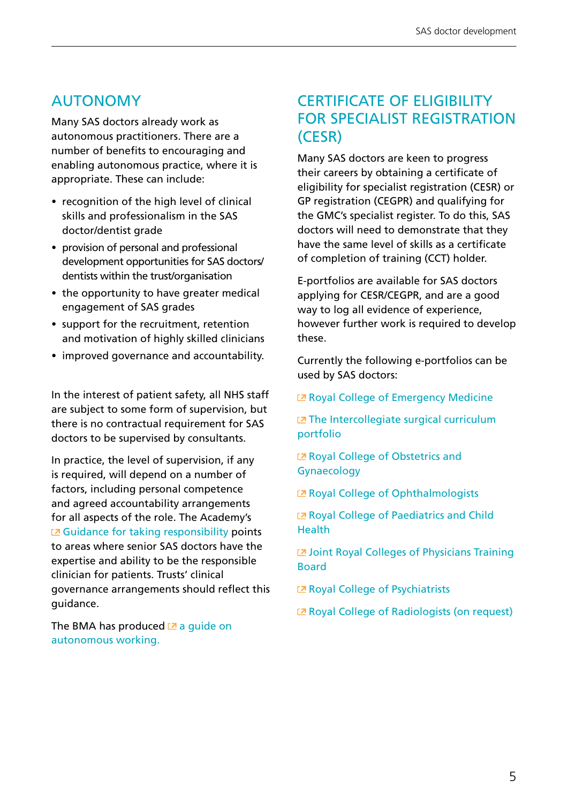### **AUTONOMY**

Many SAS doctors already work as autonomous practitioners. There are a number of benefits to encouraging and enabling autonomous practice, where it is appropriate. These can include:

- recognition of the high level of clinical skills and professionalism in the SAS doctor/dentist grade
- provision of personal and professional development opportunities for SAS doctors/ dentists within the trust/organisation
- the opportunity to have greater medical engagement of SAS grades
- support for the recruitment, retention and motivation of highly skilled clinicians
- improved governance and accountability.

In the interest of patient safety, all NHS staff are subject to some form of supervision, but there is no contractual requirement for SAS doctors to be supervised by consultants.

In practice, the level of supervision, if any is required, will depend on a number of factors, including personal competence and agreed accountability arrangements for all aspects of the role. The Academy's **Z** [Guidance for taking responsibility](www.aomrc.org.uk/publications/reports-guidance/taking-responsibility-accountable-clinicians/) points to areas where senior SAS doctors have the expertise and ability to be the responsible clinician for patients. Trusts' clinical governance arrangements should reflect this guidance.

The BMA has produced  $Z$  a guide on [autonomous working.](https://www.bma.org.uk/advice/employment/contracts/sas-contracts/autonomy-for-sas-grade-doctors%20)

### CERTIFICATE OF ELIGIBILITY for specialist registration (CESR)

Many SAS doctors are keen to progress their careers by obtaining a certificate of eligibility for specialist registration (CESR) or GP registration (CEGPR) and qualifying for the GMC's specialist register. To do this, SAS doctors will need to demonstrate that they have the same level of skills as a certificate of completion of training (CCT) holder.

E-portfolios are available for SAS doctors applying for CESR/CEGPR, and are a good way to log all evidence of experience, however further work is required to develop these.

Currently the following e-portfolios can be used by SAS doctors:

 [Royal College of Emergency Medicine](http://www.rcem.ac.uk/Training-Exams/E-portfolio) 

 $\square$  The Intercollegiate surgical curriculum [portfolio](https://www.iscp.ac.uk/)

 [Royal College of Obstetrics and](www.rcog.org.uk/en/careers-training/resources--support-for-trainees/training-eportfolio/)  [Gynaecology](www.rcog.org.uk/en/careers-training/resources--support-for-trainees/training-eportfolio/)

 [Royal College of Ophthalmologists](http://www.rcophth.ac.uk/training/eportfolio/) 

 [Royal College of Paediatrics and Child](http://www.rcpch.ac.uk/training-examinations-professional-development/assessment-and-examinations/assessment-tools/eportfol)  **Health** 

**Z Joint Royal Colleges of Physicians Training** [Board](www.jrcptb.org.uk/eportfolio-information/accessing-eportfolio) 

L<sup>z</sup> [Royal College of Psychiatrists](http://www.rcpsych.ac.uk/traininpsychiatry/trainees/portfolioonline.aspx)

 [Royal College of Radiologists \(on request\)](http://www.rcr.ac.uk/clinical-oncology/specialty-training/rcr-specialty-training-eportfolio)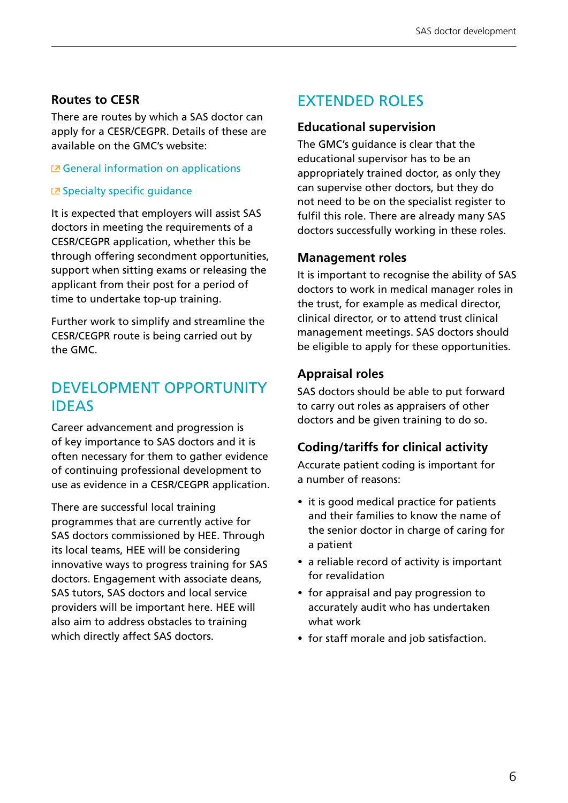#### **Routes to CESR**

There are routes by which a SAS doctor can apply for a CESR/CEGPR. Details of these are available on the GMC's website:

#### [General information on applications](http://www.gmc-uk.org/doctors/24630.asp)

#### L2 Specialty specific guidance

It is expected that employers will assist SAS doctors in meeting the requirements of a CESR/CEGPR application, whether this be through offering secondment opportunities, support when sitting exams or releasing the applicant from their post for a period of time to undertake top-up training.

Further work to simplify and streamline the CESR/CEGPR route is being carried out by the GMC.

# Development opportunity **IDEAS**

Career advancement and progression is of key importance to SAS doctors and it is often necessary for them to gather evidence of continuing professional development to use as evidence in a CESR/CEGPR application.

There are successful local training programmes that are currently active for SAS doctors commissioned by HEE. Through its local teams, HEE will be considering innovative ways to progress training for SAS doctors. Engagement with associate deans, SAS tutors, SAS doctors and local service providers will be important here. HEE will also aim to address obstacles to training which directly affect SAS doctors.

### Extended roles

#### **Educational supervision**

The GMC's quidance is clear that the educational supervisor has to be an appropriately trained doctor, as only they can supervise other doctors, but they do not need to be on the specialist register to fulfil this role. There are already many SAS doctors successfully working in these roles.

#### **Management roles**

It is important to recognise the ability of SAS doctors to work in medical manager roles in the trust, for example as medical director, clinical director, or to attend trust clinical management meetings. SAS doctors should be eligible to apply for these opportunities.

#### **Appraisal roles**

SAS doctors should be able to put forward to carry out roles as appraisers of other doctors and be given training to do so.

#### **Coding/tariffs for clinical activity**

Accurate patient coding is important for a number of reasons:

- it is good medical practice for patients and their families to know the name of the senior doctor in charge of caring for a patient
- a reliable record of activity is important for revalidation
- for appraisal and pay progression to accurately audit who has undertaken what work
- for staff morale and job satisfaction.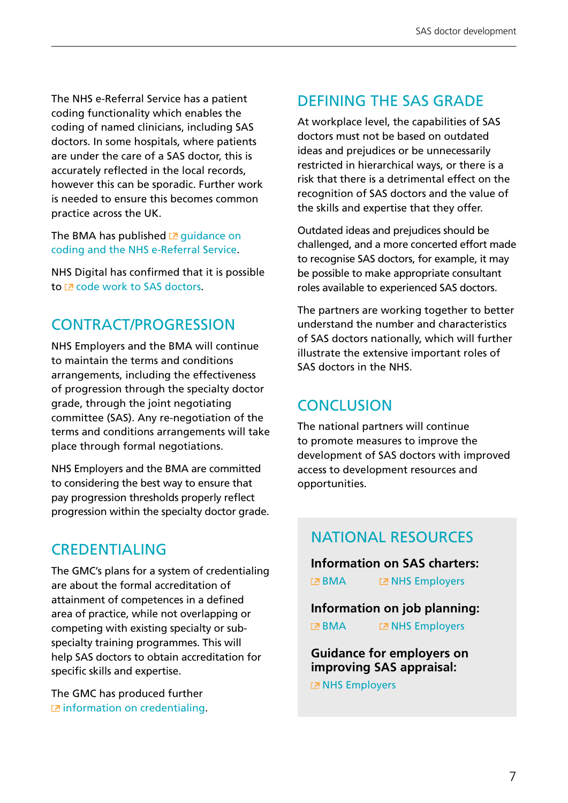The NHS e-Referral Service has a patient coding functionality which enables the coding of named clinicians, including SAS doctors. In some hospitals, where patients are under the care of a SAS doctor, this is accurately reflected in the local records, however this can be sporadic. Further work is needed to ensure this becomes common practice across the UK.

The BMA has published  $Z$  quidance on [coding and the NHS e-Referral Service.](https://www.bma.org.uk/advice/employment/contracts/sas-contracts/autonomy-for-sas-grade-doctors/referrals-and-coding/lnc-briefing-on-referrals-and-coding) 

[NHS Digital has confirmed that it is possible](http://www.hscic.gov.uk/media/17293/Named-Clinician-Referrals/pdf/named_clinician.pdf)  to **z** code work to SAS doctors.

# Contract/progression

NHS Employers and the BMA will continue to maintain the terms and conditions arrangements, including the effectiveness of progression through the specialty doctor grade, through the joint negotiating committee (SAS). Any re-negotiation of the terms and conditions arrangements will take place through formal negotiations.

NHS Employers and the BMA are committed to considering the best way to ensure that pay progression thresholds properly reflect progression within the specialty doctor grade.

### CREDENTIALING

The GMC's plans for a system of credentialing are about the formal accreditation of attainment of competences in a defined area of practice, while not overlapping or competing with existing specialty or subspecialty training programmes. This will help SAS doctors to obtain accreditation for specific skills and expertise.

The GMC has produced further  [information on credentialing.](http://www.gmc-uk.org/education/continuing_professional_development/27258.asp)

### Defining the SAS grade

At workplace level, the capabilities of SAS doctors must not be based on outdated ideas and prejudices or be unnecessarily restricted in hierarchical ways, or there is a risk that there is a detrimental effect on the recognition of SAS doctors and the value of the skills and expertise that they offer.

Outdated ideas and prejudices should be challenged, and a more concerted effort made to recognise SAS doctors, for example, it may be possible to make appropriate consultant roles available to experienced SAS doctors.

The partners are working together to better understand the number and characteristics of SAS doctors nationally, which will further illustrate the extensive important roles of SAS doctors in the NHS.

# Conclusion

The national partners will continue to promote measures to improve the development of SAS doctors with improved access to development resources and opportunities.

# National resources

**Information on SAS charters: EZ [BMA](http://www.bma.org.uk/developing-your-career/sas-grade-doctor/sas-charters) EZ [NHS Employers](http://www.nhsemployers.org/your-workforce/pay-and-reward/nhs-terms-and-conditions/specialty-and-associate-specialist-doctors/sas-charter%20)** 

**Information on job planning: EZ [BMA](http://www.bma.org.uk/support-at-work/contracts/job-planning/job-planning-sas-doctors) EZ [NHS Employers](http://www.nhsemployers.org/your-workforce/pay-and-reward/nhs-terms-and-conditions/specialty-and-associate-specialist-doctors/sas-job-planning-guide)** 

**Guidance for employers on improving SAS appraisal:**  [NHS Employers](http://www.nhsemployers.org/~/media/Employers/Publications/improving-sas-appraisal.pdf)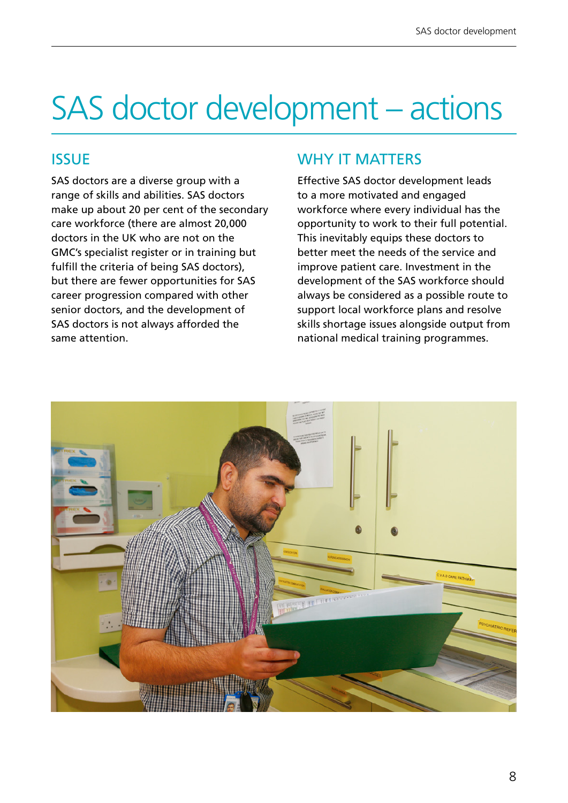# <span id="page-7-0"></span>SAS doctor development – actions

# **ISSUE**

SAS doctors are a diverse group with a range of skills and abilities. SAS doctors make up about 20 per cent of the secondary care workforce (there are almost 20,000 doctors in the UK who are not on the GMC's specialist register or in training but fulfill the criteria of being SAS doctors), but there are fewer opportunities for SAS career progression compared with other senior doctors, and the development of SAS doctors is not always afforded the same attention.

### WHY IT MATTERS

Effective SAS doctor development leads to a more motivated and engaged workforce where every individual has the opportunity to work to their full potential. This inevitably equips these doctors to better meet the needs of the service and improve patient care. Investment in the development of the SAS workforce should always be considered as a possible route to support local workforce plans and resolve skills shortage issues alongside output from national medical training programmes.

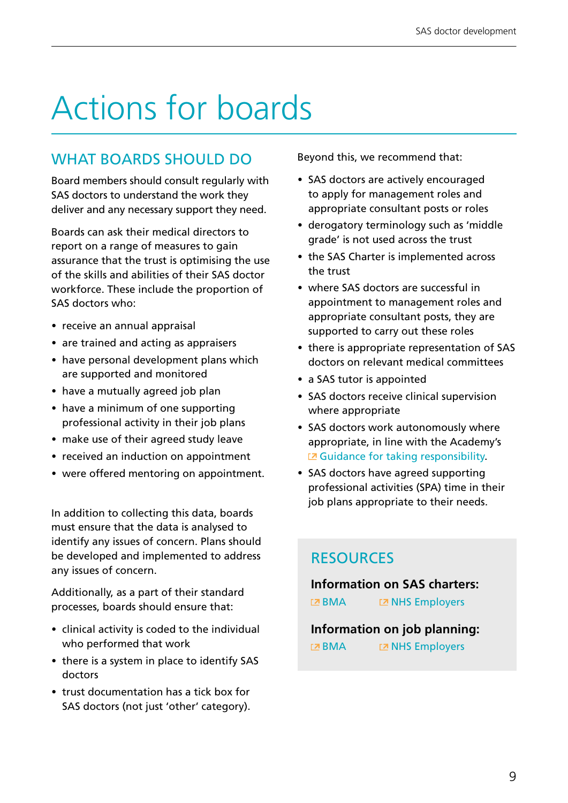# <span id="page-8-0"></span>Actions for boards

### WHAT BOARDS SHOULD DO

Board members should consult regularly with SAS doctors to understand the work they deliver and any necessary support they need.

Boards can ask their medical directors to report on a range of measures to gain assurance that the trust is optimising the use of the skills and abilities of their SAS doctor workforce. These include the proportion of SAS doctors who:

- receive an annual appraisal
- are trained and acting as appraisers
- have personal development plans which are supported and monitored
- have a mutually agreed job plan
- have a minimum of one supporting professional activity in their job plans
- make use of their agreed study leave
- received an induction on appointment
- were offered mentoring on appointment.

In addition to collecting this data, boards must ensure that the data is analysed to identify any issues of concern. Plans should be developed and implemented to address any issues of concern.

Additionally, as a part of their standard processes, boards should ensure that:

- clinical activity is coded to the individual who performed that work
- there is a system in place to identify SAS doctors
- trust documentation has a tick box for SAS doctors (not just 'other' category).

Beyond this, we recommend that:

- SAS doctors are actively encouraged to apply for management roles and appropriate consultant posts or roles
- derogatory terminology such as 'middle grade' is not used across the trust
- the SAS Charter is implemented across the trust
- where SAS doctors are successful in appointment to management roles and appropriate consultant posts, they are supported to carry out these roles
- there is appropriate representation of SAS doctors on relevant medical committees
- a SAS tutor is appointed
- SAS doctors receive clinical supervision where appropriate
- SAS doctors work autonomously where appropriate, in line with the Academy's **Z** [Guidance for taking responsibility.](http://www.aomrc.org.uk/publications/reports-guidance/taking-responsibility-accountable-clinicians/)
- SAS doctors have agreed supporting professional activities (SPA) time in their job plans appropriate to their needs.

### **RESOURCES**

#### **Information on SAS charters:**

**Z [BMA](http://www.bma.org.uk/developing-your-career/sas-grade-doctor/sas-charters) Z [NHS Employers](http://www.nhsemployers.org/your-workforce/pay-and-reward/nhs-terms-and-conditions/specialty-and-associate-specialist-doctors/sas-charter%20)** 

#### **Information on job planning: EZ [BMA](http://www.bma.org.uk/support-at-work/contracts/job-planning/job-planning-sas-doctors) EX [NHS Employers](http://www.nhsemployers.org/your-workforce/pay-and-reward/nhs-terms-and-conditions/specialty-and-associate-specialist-doctors/sas-job-planning-guide)**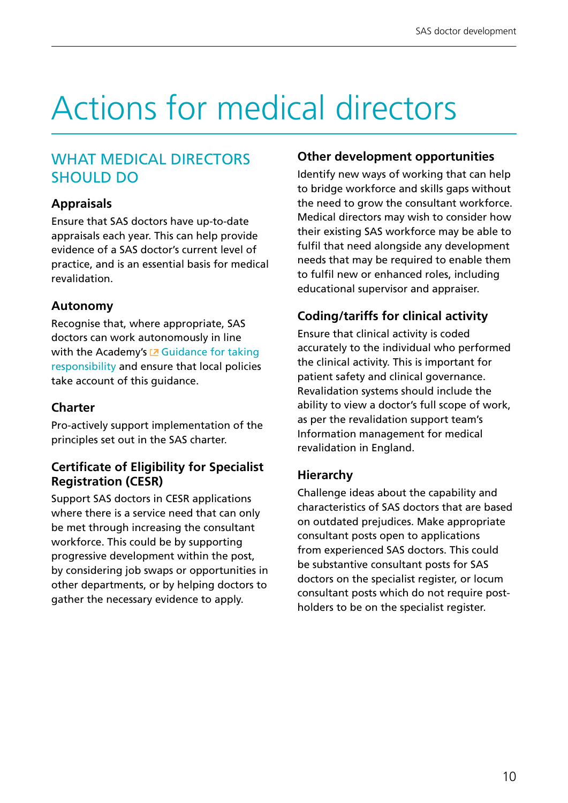# <span id="page-9-0"></span>Actions for medical directors

# WHAT MEDICAL DIRECTORS **SHOULD DO**

#### **Appraisals**

Ensure that SAS doctors have up-to-date appraisals each year. This can help provide evidence of a SAS doctor's current level of practice, and is an essential basis for medical revalidation.

#### **Autonomy**

Recognise that, where appropriate, SAS doctors can work autonomously in line with the Academy's  $Z$  Guidance for taking [responsibility](http://www.aomrc.org.uk/publications/reports-guidance/taking-responsibility-accountable-clinicians/) and ensure that local policies take account of this guidance.

#### **Charter**

Pro-actively support implementation of the principles set out in the SAS charter.

#### **Certificate of Eligibility for Specialist Registration (CESR)**

Support SAS doctors in CESR applications where there is a service need that can only be met through increasing the consultant workforce. This could be by supporting progressive development within the post, by considering job swaps or opportunities in other departments, or by helping doctors to gather the necessary evidence to apply.

#### **Other development opportunities**

Identify new ways of working that can help to bridge workforce and skills gaps without the need to grow the consultant workforce. Medical directors may wish to consider how their existing SAS workforce may be able to fulfil that need alongside any development needs that may be required to enable them to fulfil new or enhanced roles, including educational supervisor and appraiser.

#### **Coding/tariffs for clinical activity**

Ensure that clinical activity is coded accurately to the individual who performed the clinical activity. This is important for patient safety and clinical governance. Revalidation systems should include the ability to view a doctor's full scope of work, as per the revalidation support team's Information management for medical revalidation in England.

#### **Hierarchy**

Challenge ideas about the capability and characteristics of SAS doctors that are based on outdated prejudices. Make appropriate consultant posts open to applications from experienced SAS doctors. This could be substantive consultant posts for SAS doctors on the specialist register, or locum consultant posts which do not require postholders to be on the specialist register.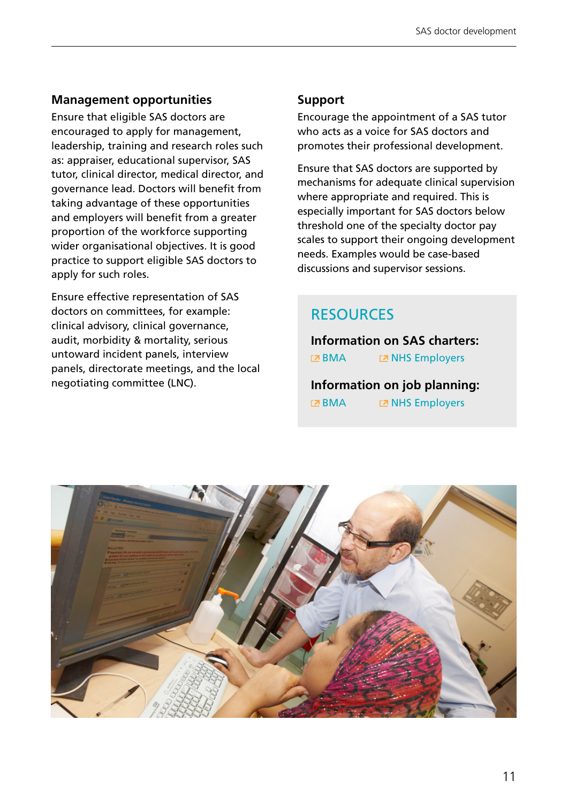#### **Management opportunities**

Ensure that eligible SAS doctors are encouraged to apply for management, leadership, training and research roles such as: appraiser, educational supervisor, SAS tutor, clinical director, medical director, and governance lead. Doctors will benefit from taking advantage of these opportunities and employers will benefit from a greater proportion of the workforce supporting wider organisational objectives. It is good practice to support eligible SAS doctors to apply for such roles.

Ensure effective representation of SAS doctors on committees, for example: clinical advisory, clinical governance, audit, morbidity & mortality, serious untoward incident panels, interview panels, directorate meetings, and the local negotiating committee (LNC).

#### **Support**

Encourage the appointment of a SAS tutor who acts as a voice for SAS doctors and promotes their professional development.

Ensure that SAS doctors are supported by mechanisms for adequate clinical supervision where appropriate and required. This is especially important for SAS doctors below threshold one of the specialty doctor pay scales to support their ongoing development needs. Examples would be case-based discussions and supervisor sessions.

### **RESOURCES**

**Information on SAS charters: EZ [BMA](http://www.bma.org.uk/developing-your-career/sas-grade-doctor/sas-charters) EZ [NHS Employers](http://www.nhsemployers.org/your-workforce/pay-and-reward/nhs-terms-and-conditions/specialty-and-associate-specialist-doctors/sas-charter%20) Information on job planning:**

**Z [BMA](http://www.bma.org.uk/support-at-work/contracts/job-planning/job-planning-sas-doctors) Z [NHS Employers](http://www.nhsemployers.org/your-workforce/pay-and-reward/nhs-terms-and-conditions/specialty-and-associate-specialist-doctors/sas-job-planning-guide)** 

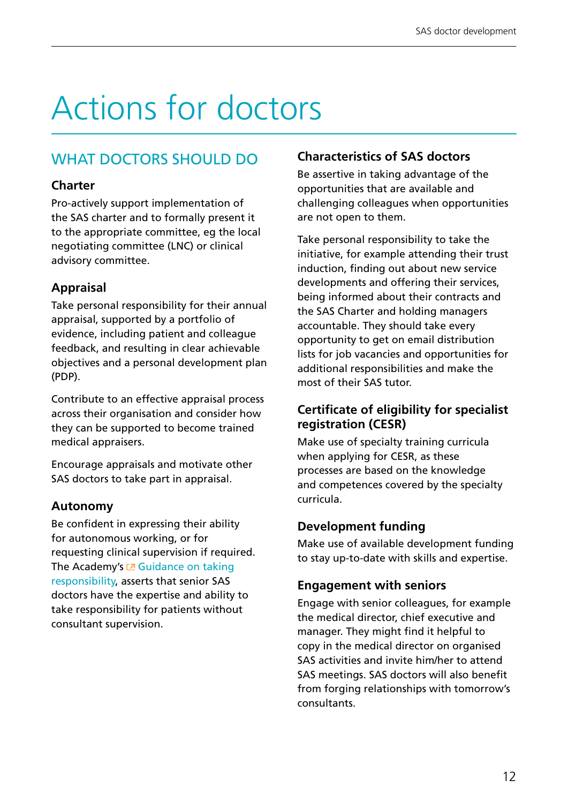# <span id="page-11-0"></span>Actions for doctors

# WHAT DOCTORS SHOULD DO

#### **Charter**

Pro-actively support implementation of the SAS charter and to formally present it to the appropriate committee, eg the local negotiating committee (LNC) or clinical advisory committee.

#### **Appraisal**

Take personal responsibility for their annual appraisal, supported by a portfolio of evidence, including patient and colleague feedback, and resulting in clear achievable objectives and a personal development plan (PDP).

Contribute to an effective appraisal process across their organisation and consider how they can be supported to become trained medical appraisers.

Encourage appraisals and motivate other SAS doctors to take part in appraisal.

#### **Autonomy**

Be confident in expressing their ability for autonomous working, or for requesting clinical supervision if required. The Academy's  $Z$  Guidance on taking [responsibility,](http://www.aomrc.org.uk/publications/reports-guidance/taking-responsibility-accountable-clinicians/) asserts that senior SAS doctors have the expertise and ability to take responsibility for patients without consultant supervision.

#### **Characteristics of SAS doctors**

Be assertive in taking advantage of the opportunities that are available and challenging colleagues when opportunities are not open to them.

Take personal responsibility to take the initiative, for example attending their trust induction, finding out about new service developments and offering their services, being informed about their contracts and the SAS Charter and holding managers accountable. They should take every opportunity to get on email distribution lists for job vacancies and opportunities for additional responsibilities and make the most of their SAS tutor.

#### **Certificate of eligibility for specialist registration (CESR)**

Make use of specialty training curricula when applying for CESR, as these processes are based on the knowledge and competences covered by the specialty curricula.

#### **Development funding**

Make use of available development funding to stay up-to-date with skills and expertise.

#### **Engagement with seniors**

Engage with senior colleagues, for example the medical director, chief executive and manager. They might find it helpful to copy in the medical director on organised SAS activities and invite him/her to attend SAS meetings. SAS doctors will also benefit from forging relationships with tomorrow's consultants.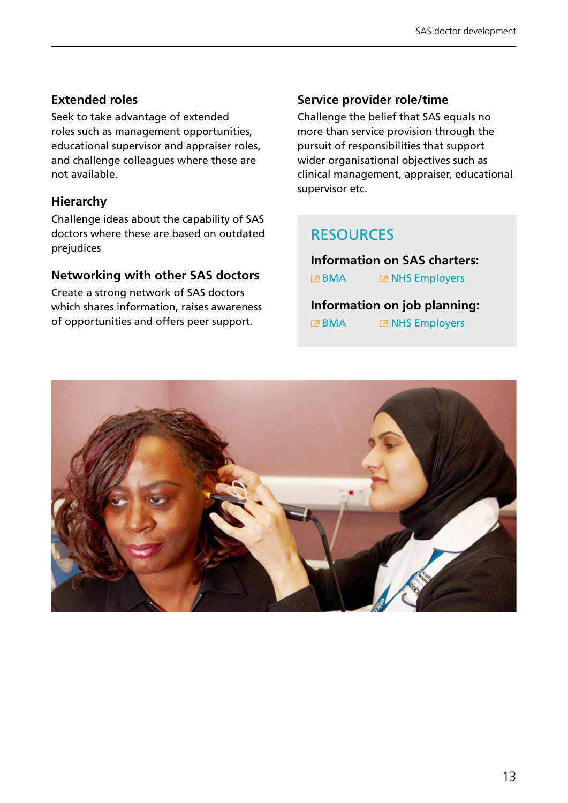#### **Extended roles**

Seek to take advantage of extended roles such as management opportunities, educational supervisor and appraiser roles, and challenge colleagues where these are not available.

#### **Hierarchy**

Challenge ideas about the capability of SAS doctors where these are based on outdated prejudices

#### **Networking with other SAS doctors**

Create a strong network of SAS doctors which shares information, raises awareness of opportunities and offers peer support.

#### **Service provider role/time**

Challenge the belief that SAS equals no more than service provision through the pursuit of responsibilities that support wider organisational objectives such as clinical management, appraiser, educational supervisor etc.

### **RESOURCES**

**Information on SAS charters: EZ [BMA](http://www.bma.org.uk/developing-your-career/sas-grade-doctor/sas-charters) EX [NHS Employers](http://www.nhsemployers.org/your-workforce/pay-and-reward/nhs-terms-and-conditions/specialty-and-associate-specialist-doctors/sas-charter%20)** 

#### **Information on job planning: Z [BMA](http://www.bma.org.uk/support-at-work/contracts/job-planning/job-planning-sas-doctors) Z [NHS Employers](http://www.nhsemployers.org/your-workforce/pay-and-reward/nhs-terms-and-conditions/specialty-and-associate-specialist-doctors/sas-job-planning-guide)**

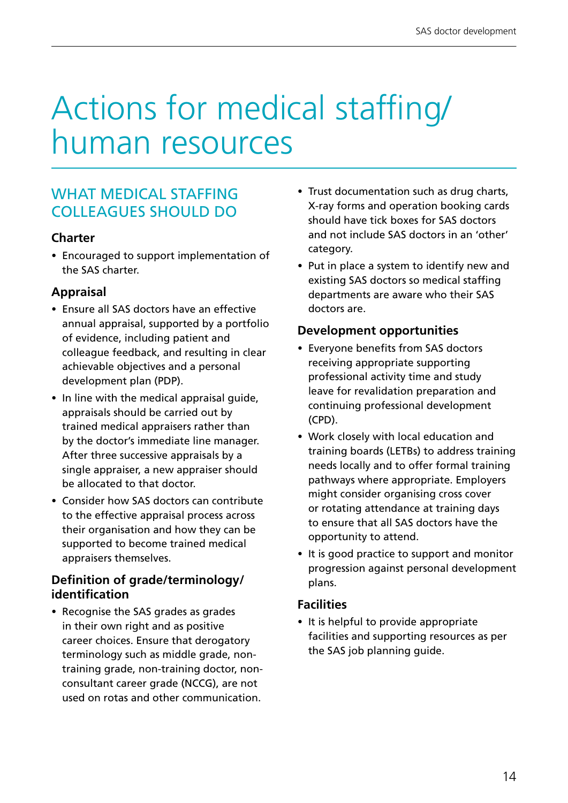# <span id="page-13-0"></span>Actions for medical staffing/ human resources

# WHAT MEDICAL STAFFING colleagues should do

#### **Charter**

• Encouraged to support implementation of the SAS charter.

#### **Appraisal**

- Ensure all SAS doctors have an effective annual appraisal, supported by a portfolio of evidence, including patient and colleague feedback, and resulting in clear achievable objectives and a personal development plan (PDP).
- In line with the medical appraisal quide, appraisals should be carried out by trained medical appraisers rather than by the doctor's immediate line manager. After three successive appraisals by a single appraiser, a new appraiser should be allocated to that doctor.
- Consider how SAS doctors can contribute to the effective appraisal process across their organisation and how they can be supported to become trained medical appraisers themselves.

#### **Definition of grade/terminology/ identification**

• Recognise the SAS grades as grades in their own right and as positive career choices. Ensure that derogatory terminology such as middle grade, nontraining grade, non-training doctor, nonconsultant career grade (NCCG), are not used on rotas and other communication.

- Trust documentation such as drug charts, X-ray forms and operation booking cards should have tick boxes for SAS doctors and not include SAS doctors in an 'other' category.
- Put in place a system to identify new and existing SAS doctors so medical staffing departments are aware who their SAS doctors are.

#### **Development opportunities**

- Everyone benefits from SAS doctors receiving appropriate supporting professional activity time and study leave for revalidation preparation and continuing professional development (CPD).
- • Work closely with local education and training boards (LETBs) to address training needs locally and to offer formal training pathways where appropriate. Employers might consider organising cross cover or rotating attendance at training days to ensure that all SAS doctors have the opportunity to attend.
- It is good practice to support and monitor progression against personal development plans.

#### **Facilities**

• It is helpful to provide appropriate facilities and supporting resources as per the SAS job planning guide.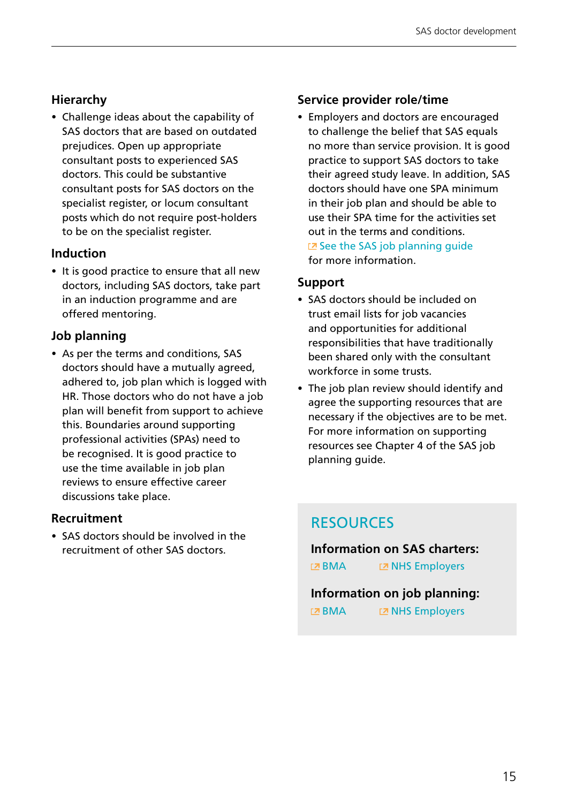#### **Hierarchy**

• Challenge ideas about the capability of SAS doctors that are based on outdated prejudices. Open up appropriate consultant posts to experienced SAS doctors. This could be substantive consultant posts for SAS doctors on the specialist register, or locum consultant posts which do not require post-holders to be on the specialist register.

#### **Induction**

• It is good practice to ensure that all new doctors, including SAS doctors, take part in an induction programme and are offered mentoring.

#### **Job planning**

• As per the terms and conditions, SAS doctors should have a mutually agreed, adhered to, job plan which is logged with HR. Those doctors who do not have a job plan will benefit from support to achieve this. Boundaries around supporting professional activities (SPAs) need to be recognised. It is good practice to use the time available in job plan reviews to ensure effective career discussions take place.

#### **Recruitment**

• SAS doctors should be involved in the recruitment of other SAS doctors.

#### **Service provider role/time**

• Employers and doctors are encouraged to challenge the belief that SAS equals no more than service provision. It is good practice to support SAS doctors to take their agreed study leave. In addition, SAS doctors should have one SPA minimum in their job plan and should be able to use their SPA time for the activities set out in the terms and conditions.  $\square$  See the SAS job planning quide for more information.

#### **Support**

- SAS doctors should be included on trust email lists for job vacancies and opportunities for additional responsibilities that have traditionally been shared only with the consultant workforce in some trusts.
- The job plan review should identify and agree the supporting resources that are necessary if the objectives are to be met. For more information on supporting resources see Chapter 4 of the SAS job planning guide.

### **RESOURCES**

**Information on SAS charters:**

**EZ [BMA](http://www.bma.org.uk/developing-your-career/sas-grade-doctor/sas-charters) EX [NHS Employers](http://www.nhsemployers.org/your-workforce/pay-and-reward/nhs-terms-and-conditions/specialty-and-associate-specialist-doctors/sas-charter%20)** 

**Information on job planning: EZ [BMA](http://www.bma.org.uk/support-at-work/contracts/job-planning/job-planning-sas-doctors) EX [NHS Employers](http://www.nhsemployers.org/your-workforce/pay-and-reward/nhs-terms-and-conditions/specialty-and-associate-specialist-doctors/sas-job-planning-guide)**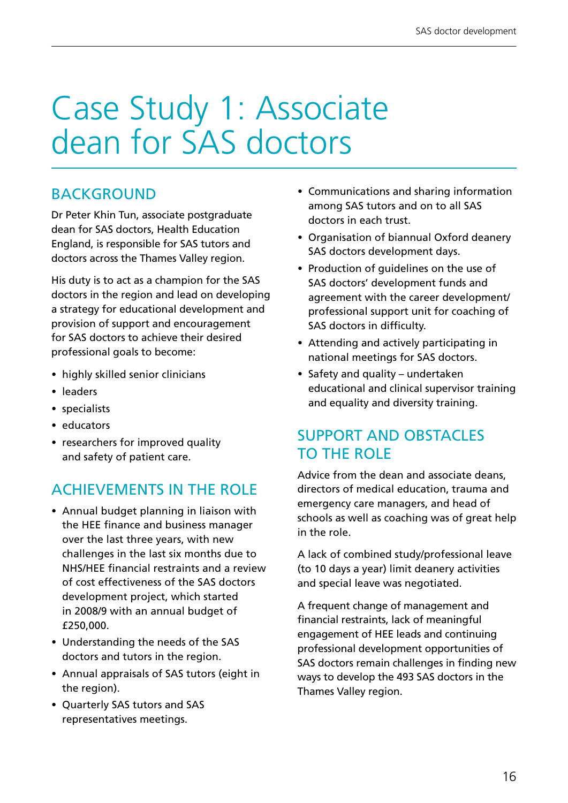# <span id="page-15-0"></span>Case Study 1: Associate dean for SAS doctors

# **BACKGROUND**

Dr Peter Khin Tun, associate postgraduate dean for SAS doctors, Health Education England, is responsible for SAS tutors and doctors across the Thames Valley region.

His duty is to act as a champion for the SAS doctors in the region and lead on developing a strategy for educational development and provision of support and encouragement for SAS doctors to achieve their desired professional goals to become:

- highly skilled senior clinicians
- • leaders
- specialists
- • educators
- researchers for improved quality and safety of patient care.

# Achievements in the role

- Annual budget planning in liaison with the HEE finance and business manager over the last three years, with new challenges in the last six months due to NHS/HEE financial restraints and a review of cost effectiveness of the SAS doctors development project, which started in 2008/9 with an annual budget of £250,000.
- Understanding the needs of the SAS doctors and tutors in the region.
- Annual appraisals of SAS tutors (eight in the region).
- Quarterly SAS tutors and SAS representatives meetings.
- Communications and sharing information among SAS tutors and on to all SAS doctors in each trust.
- Organisation of biannual Oxford deanery SAS doctors development days.
- Production of quidelines on the use of SAS doctors' development funds and agreement with the career development/ professional support unit for coaching of SAS doctors in difficulty.
- • Attending and actively participating in national meetings for SAS doctors.
- Safety and quality undertaken educational and clinical supervisor training and equality and diversity training.

# SUPPORT AND OBSTACLES to the role

Advice from the dean and associate deans, directors of medical education, trauma and emergency care managers, and head of schools as well as coaching was of great help in the role.

A lack of combined study/professional leave (to 10 days a year) limit deanery activities and special leave was negotiated.

A frequent change of management and financial restraints, lack of meaningful engagement of HEE leads and continuing professional development opportunities of SAS doctors remain challenges in finding new ways to develop the 493 SAS doctors in the Thames Valley region.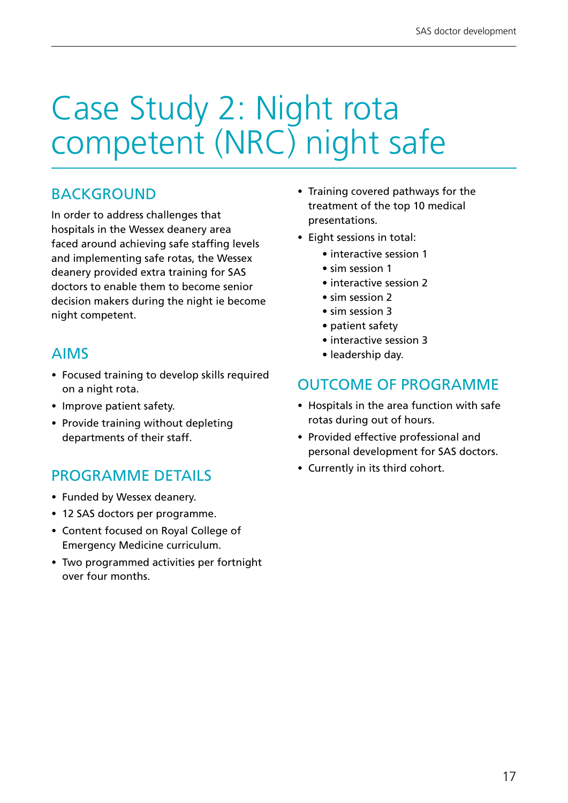# <span id="page-16-0"></span>Case Study 2: Night rota competent (NRC) night safe

# **BACKGROUND**

In order to address challenges that hospitals in the Wessex deanery area faced around achieving safe staffing levels and implementing safe rotas, the Wessex deanery provided extra training for SAS doctors to enable them to become senior decision makers during the night ie become night competent.

# Aims

- Focused training to develop skills required on a night rota.
- Improve patient safety.
- Provide training without depleting departments of their staff.

# PROGRAMME DETAILS

- Funded by Wessex deanery.
- 12 SAS doctors per programme.
- Content focused on Royal College of Emergency Medicine curriculum.
- Two programmed activities per fortnight over four months.
- Training covered pathways for the treatment of the top 10 medical presentations.
- • Eight sessions in total:
	- interactive session 1
	- sim session 1
	- interactive session 2
	- sim session 2
	- sim session 3
	- patient safety
	- interactive session 3
	- leadership day.

# Outcome of programme

- Hospitals in the area function with safe rotas during out of hours.
- Provided effective professional and personal development for SAS doctors.
- Currently in its third cohort.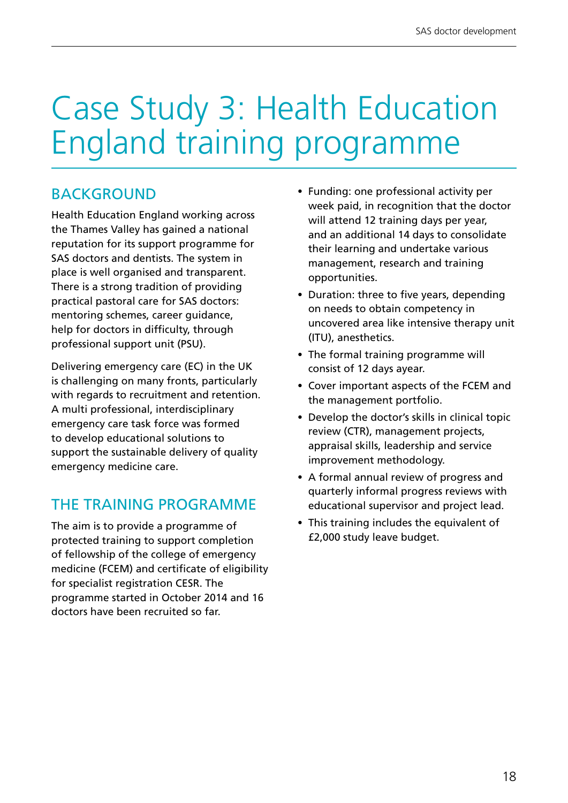# <span id="page-17-0"></span>Case Study 3: Health Education England training programme

# **BACKGROUND**

Health Education England working across the Thames Valley has gained a national reputation for its support programme for SAS doctors and dentists. The system in place is well organised and transparent. There is a strong tradition of providing practical pastoral care for SAS doctors: mentoring schemes, career guidance, help for doctors in difficulty, through professional support unit (PSU).

Delivering emergency care (EC) in the UK is challenging on many fronts, particularly with regards to recruitment and retention. A multi professional, interdisciplinary emergency care task force was formed to develop educational solutions to support the sustainable delivery of quality emergency medicine care.

# The training programme

The aim is to provide a programme of protected training to support completion of fellowship of the college of emergency medicine (FCEM) and certificate of eligibility for specialist registration CESR. The programme started in October 2014 and 16 doctors have been recruited so far.

- Funding: one professional activity per week paid, in recognition that the doctor will attend 12 training days per year, and an additional 14 days to consolidate their learning and undertake various management, research and training opportunities.
- Duration: three to five years, depending on needs to obtain competency in uncovered area like intensive therapy unit (ITU), anesthetics.
- The formal training programme will consist of 12 days ayear.
- Cover important aspects of the FCEM and the management portfolio.
- Develop the doctor's skills in clinical topic review (CTR), management projects, appraisal skills, leadership and service improvement methodology.
- • A formal annual review of progress and quarterly informal progress reviews with educational supervisor and project lead.
- This training includes the equivalent of £2,000 study leave budget.